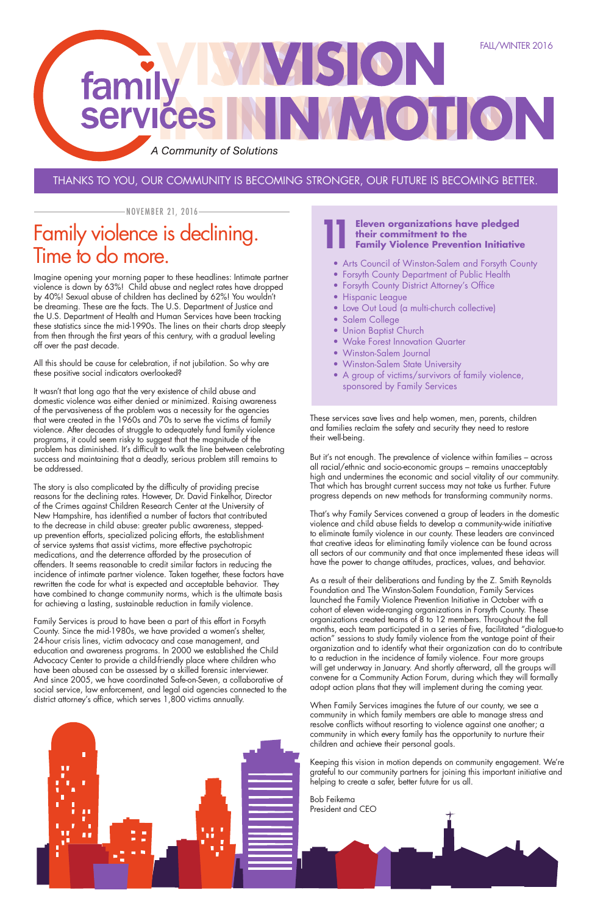## THANKS TO YOU, OUR COMMUNITY IS BECOMING STRONGER, OUR FUTURE IS BECOMING BETTER.

Imagine opening your morning paper to these headlines: Intimate partner violence is down by 63%! Child abuse and neglect rates have dropped by 40%! Sexual abuse of children has declined by 62%! You wouldn't be dreaming. These are the facts. The U.S. Department of Justice and the U.S. Department of Health and Human Services have been tracking these statistics since the mid-1990s. The lines on their charts drop steeply from then through the first years of this century, with a gradual leveling off over the past decade.

All this should be cause for celebration, if not jubilation. So why are these positive social indicators overlooked?

It wasn't that long ago that the very existence of child abuse and domestic violence was either denied or minimized. Raising awareness of the pervasiveness of the problem was a necessity for the agencies that were created in the 1960s and 70s to serve the victims of family violence. After decades of struggle to adequately fund family violence programs, it could seem risky to suggest that the magnitude of the problem has diminished. It's difficult to walk the line between celebrating success and maintaining that a deadly, serious problem still remains to be addressed.

The story is also complicated by the difficulty of providing precise reasons for the declining rates. However, Dr. David Finkelhor, Director of the Crimes against Children Research Center at the University of New Hampshire, has identified a number of factors that contributed to the decrease in child abuse: greater public awareness, steppedup prevention efforts, specialized policing efforts, the establishment of service systems that assist victims, more effective psychotropic medications, and the deterrence afforded by the prosecution of offenders. It seems reasonable to credit similar factors in reducing the incidence of intimate partner violence. Taken together, these factors have rewritten the code for what is expected and acceptable behavior. They have combined to change community norms, which is the ultimate basis for achieving a lasting, sustainable reduction in family violence.

Family Services is proud to have been a part of this effort in Forsyth County. Since the mid-1980s, we have provided a women's shelter, 24-hour crisis lines, victim advocacy and case management, and education and awareness programs. In 2000 we established the Child Advocacy Center to provide a child-friendly place where children who have been abused can be assessed by a skilled forensic interviewer. And since 2005, we have coordinated Safe-on-Seven, a collaborative of social service, law enforcement, and legal aid agencies connected to the district attorney's office, which serves 1,800 victims annually.

These services save lives and help women, men, parents, children and families reclaim the safety and security they need to restore their well-being.

But it's not enough. The prevalence of violence within families – across all racial/ethnic and socio-economic groups – remains unacceptably high and undermines the economic and social vitality of our community. That which has brought current success may not take us further. Future progress depends on new methods for transforming community norms.

That's why Family Services convened a group of leaders in the domestic violence and child abuse fields to develop a community-wide initiative to eliminate family violence in our county. These leaders are convinced that creative ideas for eliminating family violence can be found across all sectors of our community and that once implemented these ideas will have the power to change attitudes, practices, values, and behavior.

As a result of their deliberations and funding by the Z. Smith Reynolds Foundation and The Winston-Salem Foundation, Family Services launched the Family Violence Prevention Initiative in October with a cohort of eleven wide-ranging organizations in Forsyth County. These organizations created teams of 8 to 12 members. Throughout the fall months, each team participated in a series of five, facilitated "dialogue-to action" sessions to study family violence from the vantage point of their organization and to identify what their organization can do to contribute to a reduction in the incidence of family violence. Four more groups will get underway in January. And shortly afterward, all the groups will convene for a Community Action Forum, during which they will formally adopt action plans that they will implement during the coming year.

When Family Services imagines the future of our county, we see a community in which family members are able to manage stress and resolve conflicts without resorting to violence against one another; a community in which every family has the opportunity to nurture their children and achieve their personal goals.

Keeping this vision in motion depends on community engagement. We're grateful to our community partners for joining this important initiative and helping to create a safer, better future for us all.



# Family violence is declining. Time to do more.

NOVEMBER 21, 2016



### **Eleven organizations have pledged their commitment to the Family Violence Prevention Initiative 11**

- Arts Council of Winston-Salem and Forsyth County
- Forsyth County Department of Public Health
- Forsyth County District Attorney's Office
- Hispanic League
- Love Out Loud (a multi-church collective)
- Salem College
- Union Baptist Church
- Wake Forest Innovation Quarter
- Winston-Salem Journal
- Winston-Salem State University
- A group of victims/survivors of family violence, sponsored by Family Services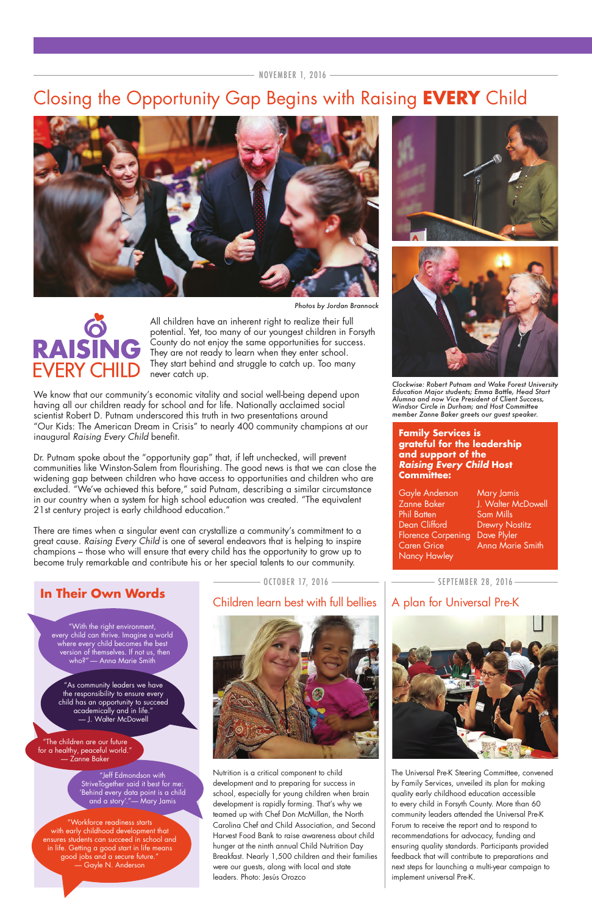NOVEMBER 1, 2016

# Closing the Opportunity Gap Begins with Raising **EVERY** Child



Nutrition is a critical component to child development and to preparing for success in school, especially for young children when brain development is rapidly forming. That's why we teamed up with Chef Don McMillan, the North Carolina Chef and Child Association, and Second Harvest Food Bank to raise awareness about child hunger at the ninth annual Child Nutrition Day Breakfast. Nearly 1,500 children and their families were our guests, along with local and state leaders. Photo: Jesús Orozco

The Universal Pre-K Steering Committee, convened by Family Services, unveiled its plan for making quality early childhood education accessible to every child in Forsyth County. More than 60 community leaders attended the Universal Pre-K Forum to receive the report and to respond to recommendations for advocacy, funding and ensuring quality standards. Participants provided feedback that will contribute to preparations and next steps for launching a multi-year campaign to implement universal Pre-K.

Dr. Putnam spoke about the "opportunity gap" that, if left unchecked, will prevent communities like Winston-Salem from flourishing. The good news is that we can close the widening gap between children who have access to opportunities and children who are excluded. "We've achieved this before," said Putnam, describing a similar circumstance in our country when a system for high school education was created. "The equivalent 21st century project is early childhood education."

All children have an inherent right to realize their full potential. Yet, too many of our youngest children in Forsyth County do not enjoy the same opportunities for success. They are not ready to learn when they enter school. They start behind and struggle to catch up. Too many never catch up.

We know that our community's economic vitality and social well-being depend upon having all our children ready for school and for life. Nationally acclaimed social scientist Robert D. Putnam underscored this truth in two presentations around "Our Kids: The American Dream in Crisis" to nearly 400 community champions at our inaugural *Raising Every Child* benefit.

There are times when a singular event can crystallize a community's commitment to a great cause. *Raising Every Child* is one of several endeavors that is helping to inspire champions – those who will ensure that every child has the opportunity to grow up to become truly remarkable and contribute his or her special talents to our community.

## **In Their Own Words**

"With the right environment, every child can thrive. Imagine a world where every child becomes the best version of themselves. If not us, then who?" — Anna Marie Smith

## Children learn best with full bellies  $\parallel$  A plan for Universal Pre-K







"As community leaders we have the responsibility to ensure every child has an opportunity to succeed academically and in life." — J. Walter McDowell

"The children are our future for a healthy, peaceful world." — Zanne Baker

> "Jeff Edmondson with StriveTogether said it best for me: 'Behind every data point is a child and a story'."— Mary Jamis

"Workforce readiness starts with early childhood development that ensures students can succeed in school and in life. Getting a good start in life means good jobs and a secure future." — Gayle N. Anderson

*Clockwise: Robert Putnam and Wake Forest University Education Major students; Emma Battle, Head Start Alumna and now Vice President of Client Success, Windsor Circle in Durham; and Host Committee member Zanne Baker greets our guest speaker.*





### **Family Services is grateful for the leadership and support of the** *Raising Every Child* **Host Committee:**

Zanne Baker J. Walter McDowell

- OCTOBER 17, 2016 - The SEPTEMBER 28, 2016 -



Gayle Anderson Mary Jamis Phil Batten Sam Mills Dean Clifford Drewry Nostitz Florence Corpening Dave Plyler Caren Grice **Anna Marie Smith** Nancy Hawley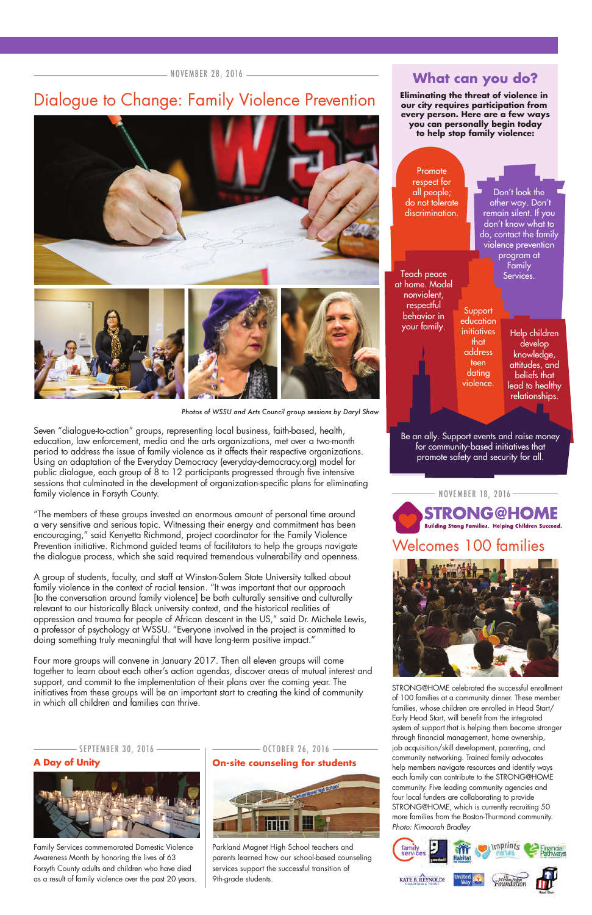## Dialogue to Change: Family Violence Prevention



STRONG@HOME celebrated the successful enrollment of 100 families at a community dinner. These member families, whose children are enrolled in Head Start/ Early Head Start, will benefit from the integrated system of support that is helping them become stronger through financial management, home ownership, job acquisition/skill development, parenting, and community networking. Trained family advocates help members navigate resources and identify ways each family can contribute to the STRONG@HOME community. Five leading community agencies and four local funders are collaborating to provide STRONG@HOME, which is currently recruiting 50 more families from the Boston-Thurmond community. *Photo: Kimoorah Bradley*



Seven "dialogue-to-action" groups, representing local business, faith-based, health, education, law enforcement, media and the arts organizations, met over a two-month period to address the issue of family violence as it affects their respective organizations. Using an adaptation of the Everyday Democracy (everyday-democracy.org) model for public dialogue, each group of 8 to 12 participants progressed through five intensive sessions that culminated in the development of organization-specific plans for eliminating family violence in Forsyth County.

"The members of these groups invested an enormous amount of personal time around a very sensitive and serious topic. Witnessing their energy and commitment has been encouraging," said Kenyetta Richmond, project coordinator for the Family Violence Prevention initiative. Richmond guided teams of facilitators to help the groups navigate the dialogue process, which she said required tremendous vulnerability and openness.

A group of students, faculty, and staff at Winston-Salem State University talked about family violence in the context of racial tension. "It was important that our approach [to the conversation around family violence] be both culturally sensitive and culturally relevant to our historically Black university context, and the historical realities of oppression and trauma for people of African descent in the US," said Dr. Michele Lewis, a professor of psychology at WSSU. "Everyone involved in the project is committed to doing something truly meaningful that will have long-term positive impact."

### **A Day of Unity On-site counseling for students** -SEPTEMBER 30, 2016 ――――― | ――――― OCTOBER 26, 2016 ――







Four more groups will convene in January 2017. Then all eleven groups will come together to learn about each other's action agendas, discover areas of mutual interest and support, and commit to the implementation of their plans over the coming year. The initiatives from these groups will be an important start to creating the kind of community in which all children and families can thrive.

Be an ally. Support events and raise money for community-based initiatives that promote safety and security for all.

*Photos of WSSU and Arts Council group sessions by Daryl Shaw*

Family Services commemorated Domestic Violence Awareness Month by honoring the lives of 63 Forsyth County adults and children who have died as a result of family violence over the past 20 years.

Parkland Magnet High School teachers and parents learned how our school-based counseling services support the successful transition of 9th-grade students.

## **What can you do?**

**Eliminating the threat of violence in our city requires participation from every person. Here are a few ways you can personally begin today to help stop family violence:**

| program at<br>Family<br>Teach peace<br>Services.<br>nonviolent,<br>respectful<br>Support<br>behavior in<br>education<br>your family.<br>initiatives<br>Help children<br>that<br>develop<br>address<br>knowledge,<br>teen<br>attitudes, and<br>dating<br>beliefs that<br>violence.<br>lead to healthy<br>relationships. | Promote<br>respect for<br>all people;<br>do not tolerate<br>discrimination. |  | Don't look the<br>other way. Don't<br>remain silent. If you<br>don't know what to<br>do, contact the family<br>violence prevention |  |  |  |
|------------------------------------------------------------------------------------------------------------------------------------------------------------------------------------------------------------------------------------------------------------------------------------------------------------------------|-----------------------------------------------------------------------------|--|------------------------------------------------------------------------------------------------------------------------------------|--|--|--|
|                                                                                                                                                                                                                                                                                                                        | at home. Model                                                              |  |                                                                                                                                    |  |  |  |